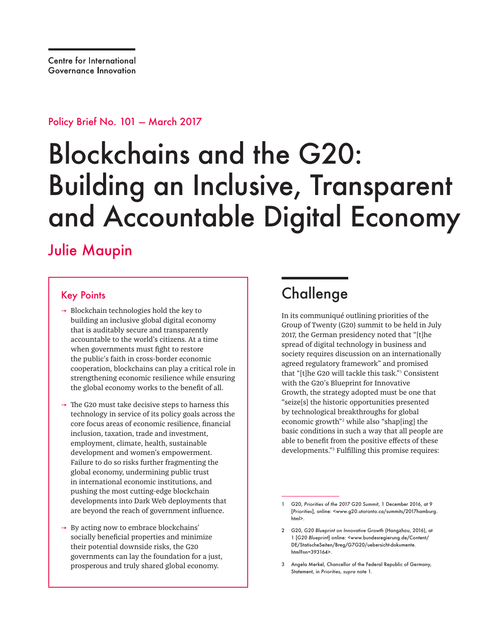Policy Brief No. 101 — March 2017

# Blockchains and the G20: Building an Inclusive, Transparent and Accountable Digital Economy

### Julie Maupin

#### Key Points

- $\rightarrow$  Blockchain technologies hold the key to building an inclusive global digital economy that is auditably secure and transparently accountable to the world's citizens. At a time when governments must fight to restore the public's faith in cross-border economic cooperation, blockchains can play a critical role in strengthening economic resilience while ensuring the global economy works to the benefit of all.
- $\rightarrow$  The G20 must take decisive steps to harness this technology in service of its policy goals across the core focus areas of economic resilience, financial inclusion, taxation, trade and investment, employment, climate, health, sustainable development and women's empowerment. Failure to do so risks further fragmenting the global economy, undermining public trust in international economic institutions, and pushing the most cutting-edge blockchain developments into Dark Web deployments that are beyond the reach of government influence.
- $\rightarrow$  By acting now to embrace blockchains' socially beneficial properties and minimize their potential downside risks, the G20 governments can lay the foundation for a just, prosperous and truly shared global economy.

# Challenge

In its communiqué outlining priorities of the Group of Twenty (G20) summit to be held in July 2017, the German presidency noted that "[t]he spread of digital technology in business and society requires discussion on an internationally agreed regulatory framework" and promised that "[t]he G20 will tackle this task."<sup>1</sup> Consistent with the G20's Blueprint for Innovative Growth, the strategy adopted must be one that "seize[s] the historic opportunities presented by technological breakthroughs for global economic growth"<sup>2</sup> while also "shap[ing] the basic conditions in such a way that all people are able to benefit from the positive effects of these developments."<sup>3</sup> Fulfilling this promise requires:

<sup>1</sup> G20, *Priorities of the 2017 G20 Summit*, 1 December 2016, at 9 [*Priorities*], online: <www.g20.utoronto.ca/summits/2017hamburg. html>.

<sup>2</sup> G20, *G20 Blueprint on Innovative Growth* (Hangzhou, 2016), at 1 [*G20 Blueprint*] online: <www.bundesregierung.de/Content/ DE/StatischeSeiten/Breg/G7G20/uebersicht-dokumente. html?nn=393164>.

<sup>3</sup> Angela Merkel, Chancellor of the Federal Republic of Germany, Statement, in *Priorities, supra* note 1.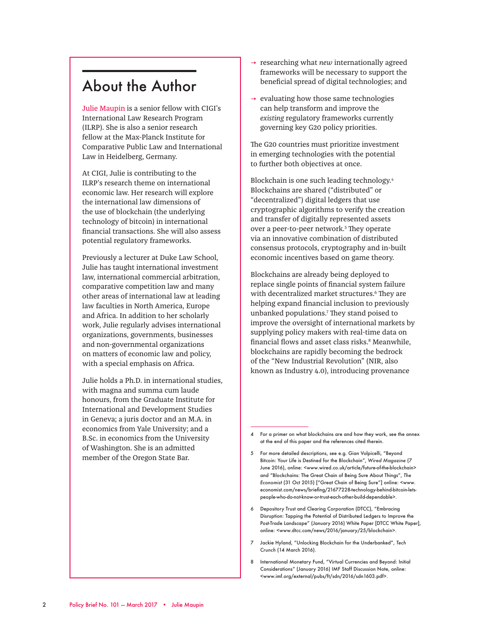#### About the Author

Julie Maupin is a senior fellow with CIGI's International Law Research Program (ILRP). She is also a senior research fellow at the Max-Planck Institute for Comparative Public Law and International Law in Heidelberg, Germany.

At CIGI, Julie is contributing to the ILRP's research theme on international economic law. Her research will explore the international law dimensions of the use of blockchain (the underlying technology of bitcoin) in international financial transactions. She will also assess potential regulatory frameworks.

Previously a lecturer at Duke Law School, Julie has taught international investment law, international commercial arbitration, comparative competition law and many other areas of international law at leading law faculties in North America, Europe and Africa. In addition to her scholarly work, Julie regularly advises international organizations, governments, businesses and non-governmental organizations on matters of economic law and policy, with a special emphasis on Africa.

Julie holds a Ph.D. in international studies, with magna and summa cum laude honours, from the Graduate Institute for International and Development Studies in Geneva; a juris doctor and an M.A. in economics from Yale University; and a B.Sc. in economics from the University of Washington. She is an admitted member of the Oregon State Bar.

- → researching what *new* internationally agreed frameworks will be necessary to support the beneficial spread of digital technologies; and
- $\rightarrow$  evaluating how those same technologies can help transform and improve the *existing* regulatory frameworks currently governing key G20 policy priorities.

The G20 countries must prioritize investment in emerging technologies with the potential to further both objectives at once.

Blockchain is one such leading technology.4 Blockchains are shared ("distributed" or "decentralized") digital ledgers that use cryptographic algorithms to verify the creation and transfer of digitally represented assets over a peer-to-peer network.<sup>5</sup> They operate via an innovative combination of distributed consensus protocols, cryptography and in-built economic incentives based on game theory.

Blockchains are already being deployed to replace single points of financial system failure with decentralized market structures.<sup>6</sup> They are helping expand financial inclusion to previously unbanked populations.7 They stand poised to improve the oversight of international markets by supplying policy makers with real-time data on financial flows and asset class risks.8 Meanwhile, blockchains are rapidly becoming the bedrock of the "New Industrial Revolution" (NIR, also known as Industry 4.0), introducing provenance

- 6 Depository Trust and Clearing Corporation (DTCC), "Embracing Disruption: Tapping the Potential of Distributed Ledgers to Improve the Post-Trade Landscape" (January 2016) White Paper [DTCC White Paper], online: <www.dtcc.com/news/2016/january/25/blockchain>.
- 7 Jackie Hyland, "Unlocking Blockchain for the Underbanked", *Tech Crunch* (14 March 2016).
- 8 International Monetary Fund, "Virtual Currencies and Beyond: Initial Considerations" (January 2016) IMF Staff Discussion Note, online: <www.imf.org/external/pubs/ft/sdn/2016/sdn1603.pdf>.

<sup>4</sup> For a primer on what blockchains are and how they work, see the annex at the end of this paper and the references cited therein.

<sup>5</sup> For more detailed descriptions, see e.g. Gian Volpicelli, "Beyond Bitcoin: Your Life is Destined for the Blockchain", *Wired Magazine* (7 June 2016), online: <www.wired.co.uk/article/future-of-the-blockchain> and "Blockchains: The Great Chain of Being Sure About Things", *The Economist* (31 Oct 2015) ["Great Chain of Being Sure"] online: <www. economist.com/news/briefing/21677228-technology-behind-bitcoin-letspeople-who-do-not-know-or-trust-each-other-build-dependable>.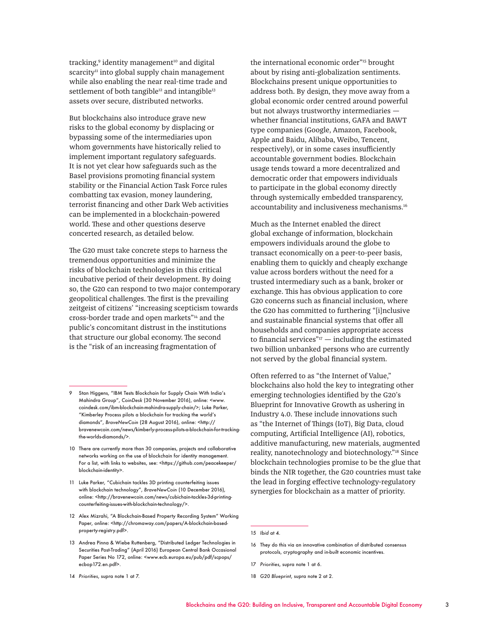tracking,<sup>9</sup> identity management<sup>10</sup> and digital  $s$ carcity<sup>11</sup> into global supply chain management while also enabling the near real-time trade and settlement of both tangible<sup>12</sup> and intangible<sup>13</sup> assets over secure, distributed networks.

But blockchains also introduce grave new risks to the global economy by displacing or bypassing some of the intermediaries upon whom governments have historically relied to implement important regulatory safeguards. It is not yet clear how safeguards such as the Basel provisions promoting financial system stability or the Financial Action Task Force rules combatting tax evasion, money laundering, terrorist financing and other Dark Web activities can be implemented in a blockchain-powered world. These and other questions deserve concerted research, as detailed below.

The G20 must take concrete steps to harness the tremendous opportunities and minimize the risks of blockchain technologies in this critical incubative period of their development. By doing so, the G20 can respond to two major contemporary geopolitical challenges. The first is the prevailing zeitgeist of citizens' "increasing scepticism towards cross-border trade and open markets"14 and the public's concomitant distrust in the institutions that structure our global economy. The second is the "risk of an increasing fragmentation of

12 Alex Mizrahi, "A Blockchain-Based Property Recording System" Working Paper, online: <http://chromaway.com/papers/A-blockchain-basedproperty-registry.pdf>.

14 *Priorities*, supra note 1 at 7.

the international economic order"<sup>15</sup> brought about by rising anti-globalization sentiments. Blockchains present unique opportunities to address both. By design, they move away from a global economic order centred around powerful but not always trustworthy intermediaries whether financial institutions, GAFA and BAWT type companies (Google, Amazon, Facebook, Apple and Baidu, Alibaba, Weibo, Tencent, respectively), or in some cases insufficiently accountable government bodies. Blockchain usage tends toward a more decentralized and democratic order that empowers individuals to participate in the global economy directly through systemically embedded transparency, accountability and inclusiveness mechanisms.16

Much as the Internet enabled the direct global exchange of information, blockchain empowers individuals around the globe to transact economically on a peer-to-peer basis, enabling them to quickly and cheaply exchange value across borders without the need for a trusted intermediary such as a bank, broker or exchange. This has obvious application to core G20 concerns such as financial inclusion, where the G20 has committed to furthering "[i]nclusive and sustainable financial systems that offer all households and companies appropriate access to financial services" $17$  — including the estimated two billion unbanked persons who are currently not served by the global financial system.

Often referred to as "the Internet of Value," blockchains also hold the key to integrating other emerging technologies identified by the G20's Blueprint for Innovative Growth as ushering in Industry 4.0. These include innovations such as "the Internet of Things (IoT), Big Data, cloud computing, Artificial Intelligence (AI), robotics, additive manufacturing, new materials, augmented reality, nanotechnology and biotechnology."18 Since blockchain technologies promise to be the glue that binds the NIR together, the G20 countries must take the lead in forging effective technology-regulatory synergies for blockchain as a matter of priority.

- 17 *Priorities*, supra note 1 at 6.
- 18 *G20 Blueprint*, supra note 2 at 2.

<sup>9</sup> Stan Higgens, "IBM Tests Blockchain for Supply Chain With India's Mahindra Group", *CoinDesk* (30 November 2016), online: <www. coindesk.com/ibm-blockchain-mahindra-supply-chain/>; Luke Parker, "Kimberley Process pilots a blockchain for tracking the world's diamonds", *BraveNewCoin* (28 August 2016), online: <http:// bravenewcoin.com/news/kimberly-process-pilots-a-blockchain-for-trackingthe-worlds-diamonds/>.

<sup>10</sup> There are currently more than 30 companies, projects and collaborative networks working on the use of blockchain for identity management. For a list, with links to websites, see: <https://github.com/peacekeeper/ blockchain-identity>.

<sup>11</sup> Luke Parker, "Cubichain tackles 3D printing counterfeiting issues with blockchain technology", *BraveNewCoin* (10 December 2016), online: <http://bravenewcoin.com/news/cubichain-tackles-3d-printingcounterfeiting-issues-with-blockchain-technology/>.

<sup>13</sup> Andrea Pinna & Wiebe Ruttenberg, "Distributed Ledger Technologies in Securities Post-Trading" (April 2016) European Central Bank Occasional Paper Series No 172, online: <www.ecb.europa.eu/pub/pdf/scpops/ ecbop172.en.pdf>.

<sup>15</sup> *Ibid* at 4.

<sup>16</sup> They do this via an innovative combination of distributed consensus protocols, cryptography and in-built economic incentives.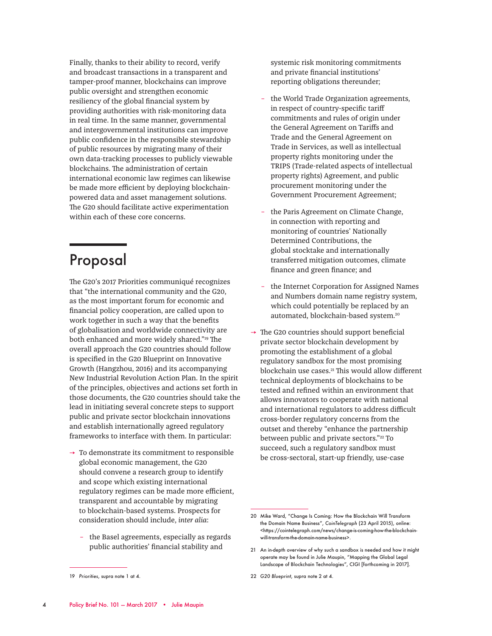Finally, thanks to their ability to record, verify and broadcast transactions in a transparent and tamper-proof manner, blockchains can improve public oversight and strengthen economic resiliency of the global financial system by providing authorities with risk-monitoring data in real time. In the same manner, governmental and intergovernmental institutions can improve public confidence in the responsible stewardship of public resources by migrating many of their own data-tracking processes to publicly viewable blockchains. The administration of certain international economic law regimes can likewise be made more efficient by deploying blockchainpowered data and asset management solutions. The G20 should facilitate active experimentation within each of these core concerns.

### Proposal

The G20's 2017 Priorities communiqué recognizes that "the international community and the G20, as the most important forum for economic and financial policy cooperation, are called upon to work together in such a way that the benefits of globalisation and worldwide connectivity are both enhanced and more widely shared."19 The overall approach the G20 countries should follow is specified in the G20 Blueprint on Innovative Growth (Hangzhou, 2016) and its accompanying New Industrial Revolution Action Plan. In the spirit of the principles, objectives and actions set forth in those documents, the G20 countries should take the lead in initiating several concrete steps to support public and private sector blockchain innovations and establish internationally agreed regulatory frameworks to interface with them. In particular:

- $\rightarrow$  To demonstrate its commitment to responsible global economic management, the G20 should convene a research group to identify and scope which existing international regulatory regimes can be made more efficient, transparent and accountable by migrating to blockchain-based systems. Prospects for consideration should include, *inter alia*:
	- the Basel agreements, especially as regards public authorities' financial stability and

systemic risk monitoring commitments and private financial institutions' reporting obligations thereunder;

- the World Trade Organization agreements, in respect of country-specific tariff commitments and rules of origin under the General Agreement on Tariffs and Trade and the General Agreement on Trade in Services, as well as intellectual property rights monitoring under the TRIPS (Trade-related aspects of intellectual property rights) Agreement, and public procurement monitoring under the Government Procurement Agreement;
- the Paris Agreement on Climate Change, in connection with reporting and monitoring of countries' Nationally Determined Contributions, the global stocktake and internationally transferred mitigation outcomes, climate finance and green finance; and
- the Internet Corporation for Assigned Names and Numbers domain name registry system, which could potentially be replaced by an automated, blockchain-based system.20
- $\rightarrow$  The G20 countries should support beneficial private sector blockchain development by promoting the establishment of a global regulatory sandbox for the most promising blockchain use cases.<sup>21</sup> This would allow different technical deployments of blockchains to be tested and refined within an environment that allows innovators to cooperate with national and international regulators to address difficult cross-border regulatory concerns from the outset and thereby "enhance the partnership between public and private sectors."<sup>22</sup> To succeed, such a regulatory sandbox must be cross-sectoral, start-up friendly, use-case

22 *G20 Blueprint*, supra note 2 at 4.

<sup>19</sup> *Priorities*, supra note 1 at 4.

<sup>20</sup> Mike Ward, "Change Is Coming: How the Blockchain Will Transform the Domain Name Business", *CoinTelegraph* (23 April 2015), online: <https://cointelegraph.com/news/change-is-coming-how-the-blockchainwill-transform-the-domain-name-business>.

<sup>21</sup> An in-depth overview of why such a sandbox is needed and how it might operate may be found in Julie Maupin, "Mapping the Global Legal Landscape of Blockchain Technologies", CIGI [forthcoming in 2017].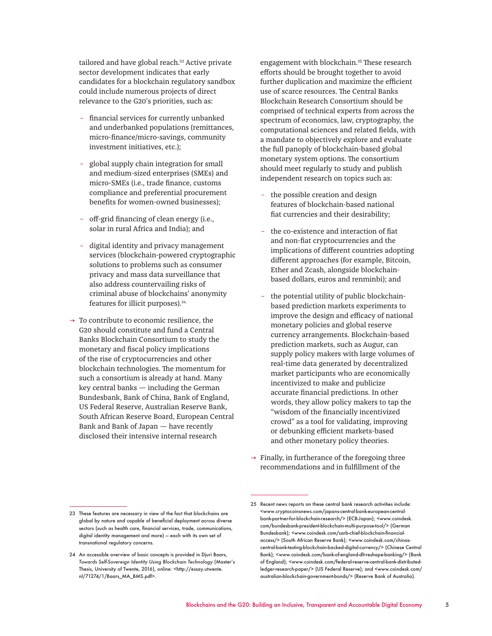tailored and have global reach.<sup>23</sup> Active private sector development indicates that early candidates for a blockchain regulatory sandbox could include numerous projects of direct relevance to the G20's priorities, such as:

- financial services for currently unbanked and underbanked populations (remittances, micro-finance/micro-savings, community investment initiatives, etc.);
- global supply chain integration for small and medium-sized enterprises (SMEs) and micro-SMEs (i.e., trade finance, customs compliance and preferential procurement benefits for women-owned businesses);
- off-grid financing of clean energy (i.e., solar in rural Africa and India); and
- digital identity and privacy management services (blockchain-powered cryptographic solutions to problems such as consumer privacy and mass data surveillance that also address countervailing risks of criminal abuse of blockchains' anonymity features for illicit purposes).24
- $\rightarrow$  To contribute to economic resilience, the G20 should constitute and fund a Central Banks Blockchain Consortium to study the monetary and fiscal policy implications of the rise of cryptocurrencies and other blockchain technologies. The momentum for such a consortium is already at hand. Many key central banks — including the German Bundesbank, Bank of China, Bank of England, US Federal Reserve, Australian Reserve Bank, South African Reserve Board, European Central Bank and Bank of Japan — have recently disclosed their intensive internal research

engagement with blockchain.<sup>25</sup> These research efforts should be brought together to avoid further duplication and maximize the efficient use of scarce resources. The Central Banks Blockchain Research Consortium should be comprised of technical experts from across the spectrum of economics, law, cryptography, the computational sciences and related fields, with a mandate to objectively explore and evaluate the full panoply of blockchain-based global monetary system options. The consortium should meet regularly to study and publish independent research on topics such as:

- the possible creation and design features of blockchain-based national fiat currencies and their desirability;
- the co-existence and interaction of fiat and non-fiat cryptocurrencies and the implications of different countries adopting different approaches (for example, Bitcoin, Ether and Zcash, alongside blockchainbased dollars, euros and renminbi); and
- the potential utility of public blockchainbased prediction markets experiments to improve the design and efficacy of national monetary policies and global reserve currency arrangements. Blockchain-based prediction markets, such as Augur, can supply policy makers with large volumes of real-time data generated by decentralized market participants who are economically incentivized to make and publicize accurate financial predictions. In other words, they allow policy makers to tap the "wisdom of the financially incentivized crowd" as a tool for validating, improving or debunking efficient markets-based and other monetary policy theories.
- $\rightarrow$  Finally, in furtherance of the foregoing three recommendations and in fulfillment of the

<sup>23</sup> These features are necessary in view of the fact that blockchains are global by nature and capable of beneficial deployment across diverse sectors (such as health care, financial services, trade, communications, digital identity management and more) — each with its own set of transnational regulatory concerns.

<sup>24</sup> An accessible overview of basic concepts is provided in Djuri Baars, *Towards Self-Sovereign Identity Using Blockchain Technology* (Master's Thesis, University of Twente, 2016), online: <http://essay.utwente. nl/71274/1/Baars\_MA\_BMS.pdf>.

<sup>25</sup> Recent news reports on these central bank research activities include: <www.cryptocoinsnews.com/japans-central-bank-european-centralbank-partner-for-blockchain-research/> (ECB-Japan); <www.coindesk. com/bundesbank-president-blockchain-multi-purpose-tool/> (German Bundesbank); <www.coindesk.com/sarb-chief-blockchain-financialaccess/> (South African Reserve Bank); <www.coindesk.com/chinascentral-bank-testing-blockchain-backed-digital-currency/> (Chinese Central Bank); <www.coindesk.com/bank-of-england-dlt-reshape-banking/> (Bank of England); <www.coindesk.com/federal-reserve-central-bank-distributedledger-research-paper/> (US Federal Reserve); and <www.coindesk.com/ australian-blockchain-government-bonds/> (Reserve Bank of Australia).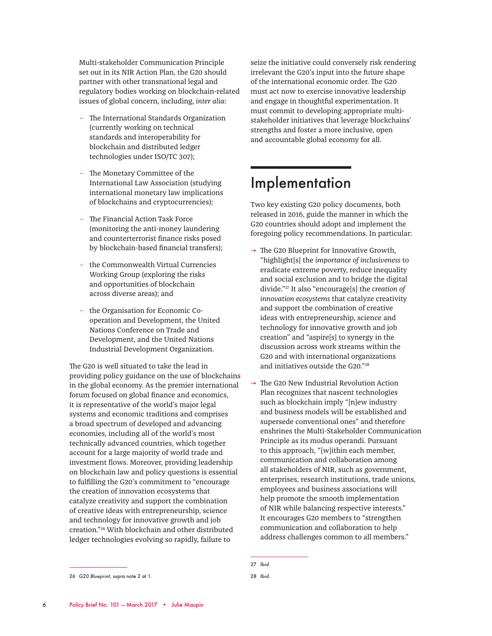Multi-stakeholder Communication Principle set out in its NIR Action Plan, the G20 should partner with other transnational legal and regulatory bodies working on blockchain-related issues of global concern, including, *inter alia*:

- The International Standards Organization (currently working on technical standards and interoperability for blockchain and distributed ledger technologies under ISO/TC 307);
- The Monetary Committee of the International Law Association (studying international monetary law implications of blockchains and cryptocurrencies);
- The Financial Action Task Force (monitoring the anti-money laundering and counterterrorist finance risks posed by blockchain-based financial transfers);
- the Commonwealth Virtual Currencies Working Group (exploring the risks and opportunities of blockchain across diverse areas); and
- the Organisation for Economic Cooperation and Development, the United Nations Conference on Trade and Development, and the United Nations Industrial Development Organization.

The G20 is well situated to take the lead in providing policy guidance on the use of blockchains in the global economy. As the premier international forum focused on global finance and economics, it is representative of the world's major legal systems and economic traditions and comprises a broad spectrum of developed and advancing economies, including all of the world's most technically advanced countries, which together account for a large majority of world trade and investment flows. Moreover, providing leadership on blockchain law and policy questions is essential to fulfilling the G20's commitment to "encourage the creation of innovation ecosystems that catalyze creativity and support the combination of creative ideas with entrepreneurship, science and technology for innovative growth and job creation."26 With blockchain and other distributed ledger technologies evolving so rapidly, failure to

seize the initiative could conversely risk rendering irrelevant the G20's input into the future shape of the international economic order. The G20 must act now to exercise innovative leadership and engage in thoughtful experimentation. It must commit to developing appropriate multistakeholder initiatives that leverage blockchains' strengths and foster a more inclusive, open and accountable global economy for all.

### Implementation

Two key existing G20 policy documents, both released in 2016, guide the manner in which the G20 countries should adopt and implement the foregoing policy recommendations. In particular:

- $\rightarrow$  The G20 Blueprint for Innovative Growth, "highlight[s] the *importance of inclusiveness* to eradicate extreme poverty, reduce inequality and social exclusion and to bridge the digital divide."27 It also "encourage[s] the *creation of innovation ecosystems* that catalyze creativity and support the combination of creative ideas with entrepreneurship, science and technology for innovative growth and job creation" and "aspire[s] to synergy in the discussion across work streams within the G20 and with international organizations and initiatives outside the G20."28
- $\rightarrow$  The G20 New Industrial Revolution Action Plan recognizes that nascent technologies such as blockchain imply "[n]ew industry and business models will be established and supersede conventional ones" and therefore enshrines the Multi-Stakeholder Communication Principle as its modus operandi. Pursuant to this approach, "[w]ithin each member, communication and collaboration among all stakeholders of NIR, such as government, enterprises, research institutions, trade unions, employees and business associations will help promote the smooth implementation of NIR while balancing respective interests." It encourages G20 members to "strengthen communication and collaboration to help address challenges common to all members."

<sup>26</sup> *G20 Blueprint*, supra note 2 at 1.

<sup>27</sup> *Ibid*.

<sup>28</sup> *Ibid*.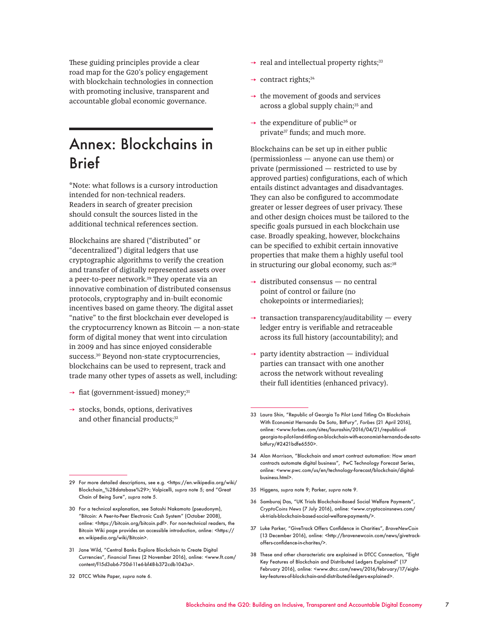These guiding principles provide a clear road map for the G20's policy engagement with blockchain technologies in connection with promoting inclusive, transparent and accountable global economic governance.

### Annex: Blockchains in Brief

\*Note: what follows is a cursory introduction intended for non-technical readers. Readers in search of greater precision should consult the sources listed in the additional technical references section.

Blockchains are shared ("distributed" or "decentralized") digital ledgers that use cryptographic algorithms to verify the creation and transfer of digitally represented assets over a peer-to-peer network.<sup>29</sup> They operate via an innovative combination of distributed consensus protocols, cryptography and in-built economic incentives based on game theory. The digital asset "native" to the first blockchain ever developed is the cryptocurrency known as Bitcoin — a non-state form of digital money that went into circulation in 2009 and has since enjoyed considerable success.30 Beyond non-state cryptocurrencies, blockchains can be used to represent, track and trade many other types of assets as well, including:

- $\rightarrow$  fiat (government-issued) money;<sup>31</sup>
- $\rightarrow$  stocks, bonds, options, derivatives and other financial products;<sup>32</sup>

32 DTCC White Paper, *supra* note 6.

- $\rightarrow$  real and intellectual property rights;<sup>33</sup>
- $\rightarrow$  contract rights;<sup>34</sup>
- $\rightarrow$  the movement of goods and services across a global supply chain;<sup>35</sup> and
- $\rightarrow$  the expenditure of public<sup>36</sup> or private<sup>37</sup> funds; and much more.

Blockchains can be set up in either public (permissionless — anyone can use them) or private (permissioned — restricted to use by approved parties) configurations, each of which entails distinct advantages and disadvantages. They can also be configured to accommodate greater or lesser degrees of user privacy. These and other design choices must be tailored to the specific goals pursued in each blockchain use case. Broadly speaking, however, blockchains can be specified to exhibit certain innovative properties that make them a highly useful tool in structuring our global economy, such as:<sup>38</sup>

- $\rightarrow$  distributed consensus no central point of control or failure (no chokepoints or intermediaries);
- $\rightarrow$  transaction transparency/auditability every ledger entry is verifiable and retraceable across its full history (accountability); and
- $\rightarrow$  party identity abstraction individual parties can transact with one another across the network without revealing their full identities (enhanced privacy).

- 34 Alan Morrison, "Blockchain and smart contract automation: How smart contracts automate digital business", PwC Technology Forecast Series, online: <www.pwc.com/us/en/technology-forecast/blockchain/digitalbusiness.html>.
- 35 Higgens, *supra* note 9; Parker, *supra* note 9.
- 36 Samburaj Das, "UK Trials Blockchain-Based Social Welfare Payments", *CryptoCoins News* (7 July 2016), online: <www.cryptocoinsnews.com/ uk-trials-blockchain-based-social-welfare-payments/>.
- 37 Luke Parker, "GiveTrack Offers Confidence in Charities", *BraveNewCoin*  (13 December 2016), online: *<*http://bravenewcoin.com/news/givetrackoffers-confidence-in-charites/>.
- 38 These and other characteristic are explained in DTCC Connection, "Eight Key Features of Blockchain and Distributed Ledgers Explained" (17 February 2016), online: <www.dtcc.com/news/2016/february/17/eightkey-features-of-blockchain-and-distributed-ledgers-explained>.

<sup>29</sup> For more detailed descriptions, see e.g. <https://en.wikipedia.org/wiki/ Blockchain\_%28database%29>; Volpicelli, *supra* note 5; and "Great Chain of Being Sure", *supra* note 5.

<sup>30</sup> For a technical explanation, see Satoshi Nakamoto (pseudonym), "Bitcoin: A Peer-to-Peer Electronic Cash System" (October 2008), online: <https://bitcoin.org/bitcoin.pdf>. For non-technical readers, the Bitcoin Wiki page provides an accessible introduction, online: <https:// en.wikipedia.org/wiki/Bitcoin>.

<sup>31</sup> Jane Wild, "Central Banks Explore Blockchain to Create Digital Currencies", *Financial Times* (2 November 2016), online: <www.ft.com/ content/f15d3ab6-750d-11e6-bf48-b372cdb1043a>.

<sup>33</sup> Laura Shin, "Republic of Georgia To Pilot Land Titling On Blockchain With Economist Hernando De Soto, BitFury", *Forbes* (21 April 2016), online: <www.forbes.com/sites/laurashin/2016/04/21/republic-ofgeorgia-to-pilot-land-titling-on-blockchain-with-economist-hernando-de-sotobitfury/#2421bdfe6550>.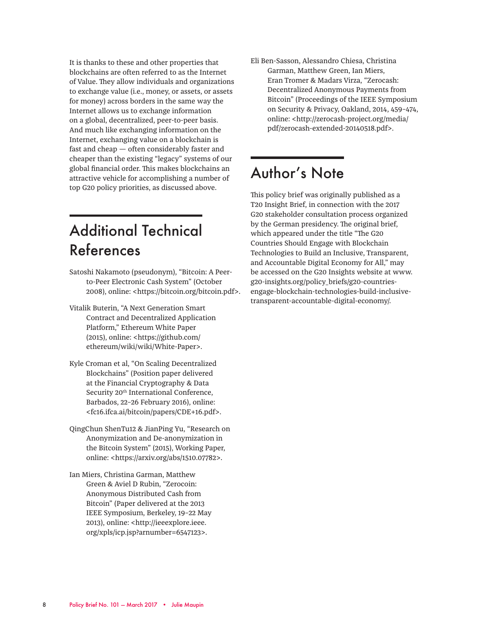It is thanks to these and other properties that blockchains are often referred to as the Internet of Value. They allow individuals and organizations to exchange value (i.e., money, or assets, or assets for money) across borders in the same way the Internet allows us to exchange information on a global, decentralized, peer-to-peer basis. And much like exchanging information on the Internet, exchanging value on a blockchain is fast and cheap — often considerably faster and cheaper than the existing "legacy" systems of our global financial order. This makes blockchains an attractive vehicle for accomplishing a number of top G20 policy priorities, as discussed above.

# Additional Technical References

- Satoshi Nakamoto (pseudonym), "Bitcoin: A Peerto-Peer Electronic Cash System" (October 2008), online: <https://bitcoin.org/bitcoin.pdf>.
- Vitalik Buterin, "A Next Generation Smart Contract and Decentralized Application Platform," Ethereum White Paper (2015), online: <https://github.com/ ethereum/wiki/wiki/White-Paper>.
- Kyle Croman et al, "On Scaling Decentralized Blockchains" (Position paper delivered at the Financial Cryptography & Data Security 20<sup>th</sup> International Conference, Barbados, 22–26 February 2016), online: <fc16.ifca.ai/bitcoin/papers/CDE+16.pdf>.
- QingChun ShenTu12 & JianPing Yu, "Research on Anonymization and De-anonymization in the Bitcoin System" (2015), Working Paper, online: <https://arxiv.org/abs/1510.07782>.
- Ian Miers, Christina Garman, Matthew Green & Aviel D Rubin, "Zerocoin: Anonymous Distributed Cash from Bitcoin" (Paper delivered at the 2013 IEEE Symposium, Berkeley, 19–22 May 2013), online: <http://ieeexplore.ieee. org/xpls/icp.jsp?arnumber=6547123>.

Eli Ben-Sasson, Alessandro Chiesa, Christina Garman, Matthew Green, Ian Miers, Eran Tromer & Madars Virza, "Zerocash: Decentralized Anonymous Payments from Bitcoin" (Proceedings of the IEEE Symposium on Security & Privacy, Oakland, 2014, 459–474, online: <http://zerocash-project.org/media/ pdf/zerocash-extended-20140518.pdf>.

### Author's Note

This policy brief was originally published as a T20 Insight Brief, in connection with the 2017 G20 stakeholder consultation process organized by the German presidency. The original brief, which appeared under the title "The G20 Countries Should Engage with Blockchain Technologies to Build an Inclusive, Transparent, and Accountable Digital Economy for All," may be accessed on the G20 Insights website at www. g20-insights.org/policy\_briefs/g20-countriesengage-blockchain-technologies-build-inclusivetransparent-accountable-digital-economy/.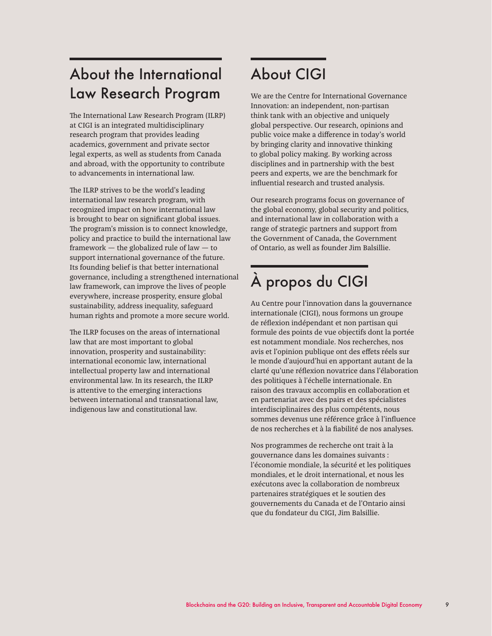### About the International Law Research Program

The International Law Research Program (ILRP) at CIGI is an integrated multidisciplinary research program that provides leading academics, government and private sector legal experts, as well as students from Canada and abroad, with the opportunity to contribute to advancements in international law.

The ILRP strives to be the world's leading international law research program, with recognized impact on how international law is brought to bear on significant global issues. The program's mission is to connect knowledge, policy and practice to build the international law framework — the globalized rule of law — to support international governance of the future. Its founding belief is that better international governance, including a strengthened international law framework, can improve the lives of people everywhere, increase prosperity, ensure global sustainability, address inequality, safeguard human rights and promote a more secure world.

The ILRP focuses on the areas of international law that are most important to global innovation, prosperity and sustainability: international economic law, international intellectual property law and international environmental law. In its research, the ILRP is attentive to the emerging interactions between international and transnational law, indigenous law and constitutional law.

## About CIGI

We are the Centre for International Governance Innovation: an independent, non-partisan think tank with an objective and uniquely global perspective. Our research, opinions and public voice make a difference in today's world by bringing clarity and innovative thinking to global policy making. By working across disciplines and in partnership with the best peers and experts, we are the benchmark for influential research and trusted analysis.

Our research programs focus on governance of the global economy, global security and politics, and international law in collaboration with a range of strategic partners and support from the Government of Canada, the Government of Ontario, as well as founder Jim Balsillie.

# À propos du CIGI

Au Centre pour l'innovation dans la gouvernance internationale (CIGI), nous formons un groupe de réflexion indépendant et non partisan qui formule des points de vue objectifs dont la portée est notamment mondiale. Nos recherches, nos avis et l'opinion publique ont des effets réels sur le monde d'aujourd'hui en apportant autant de la clarté qu'une réflexion novatrice dans l'élaboration des politiques à l'échelle internationale. En raison des travaux accomplis en collaboration et en partenariat avec des pairs et des spécialistes interdisciplinaires des plus compétents, nous sommes devenus une référence grâce à l'influence de nos recherches et à la fiabilité de nos analyses.

Nos programmes de recherche ont trait à la gouvernance dans les domaines suivants : l'économie mondiale, la sécurité et les politiques mondiales, et le droit international, et nous les exécutons avec la collaboration de nombreux partenaires stratégiques et le soutien des gouvernements du Canada et de l'Ontario ainsi que du fondateur du CIGI, Jim Balsillie.